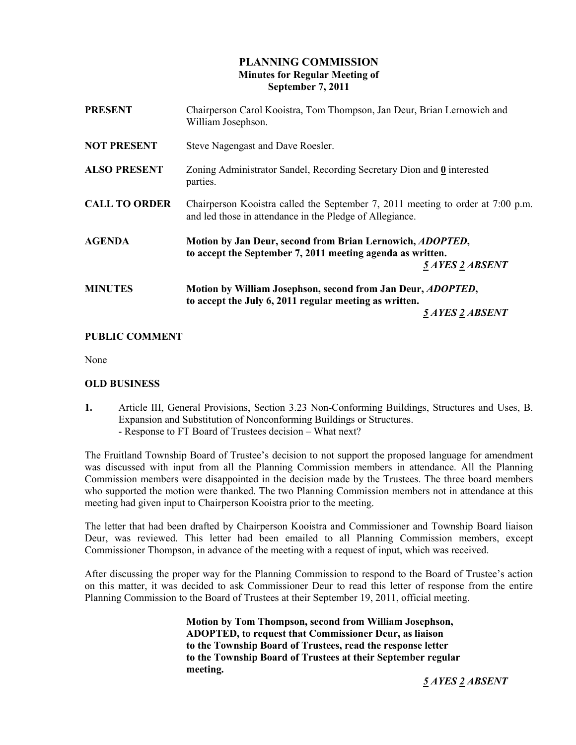# PLANNING COMMISSION Minutes for Regular Meeting of September 7, 2011

| <b>PRESENT</b>       | Chairperson Carol Kooistra, Tom Thompson, Jan Deur, Brian Lernowich and<br>William Josephson.                                                    |
|----------------------|--------------------------------------------------------------------------------------------------------------------------------------------------|
| <b>NOT PRESENT</b>   | Steve Nagengast and Dave Roesler.                                                                                                                |
| <b>ALSO PRESENT</b>  | Zoning Administrator Sandel, Recording Secretary Dion and 0 interested<br>parties.                                                               |
| <b>CALL TO ORDER</b> | Chairperson Kooistra called the September 7, 2011 meeting to order at 7:00 p.m.<br>and led those in attendance in the Pledge of Allegiance.      |
| <b>AGENDA</b>        | Motion by Jan Deur, second from Brian Lernowich, ADOPTED,<br>to accept the September 7, 2011 meeting agenda as written.<br>5 AYES 2 ABSENT       |
| <b>MINUTES</b>       | Motion by William Josephson, second from Jan Deur, <i>ADOPTED</i> ,<br>to accept the July 6, 2011 regular meeting as written.<br>5 AYES 2 ABSENT |
|                      |                                                                                                                                                  |

## PUBLIC COMMENT

None

## OLD BUSINESS

1. Article III, General Provisions, Section 3.23 Non-Conforming Buildings, Structures and Uses, B. Expansion and Substitution of Nonconforming Buildings or Structures. - Response to FT Board of Trustees decision – What next?

The Fruitland Township Board of Trustee's decision to not support the proposed language for amendment was discussed with input from all the Planning Commission members in attendance. All the Planning Commission members were disappointed in the decision made by the Trustees. The three board members who supported the motion were thanked. The two Planning Commission members not in attendance at this meeting had given input to Chairperson Kooistra prior to the meeting.

The letter that had been drafted by Chairperson Kooistra and Commissioner and Township Board liaison Deur, was reviewed. This letter had been emailed to all Planning Commission members, except Commissioner Thompson, in advance of the meeting with a request of input, which was received.

After discussing the proper way for the Planning Commission to respond to the Board of Trustee's action on this matter, it was decided to ask Commissioner Deur to read this letter of response from the entire Planning Commission to the Board of Trustees at their September 19, 2011, official meeting.

> Motion by Tom Thompson, second from William Josephson, ADOPTED, to request that Commissioner Deur, as liaison to the Township Board of Trustees, read the response letter to the Township Board of Trustees at their September regular meeting.

> > 5 AYES 2 ABSENT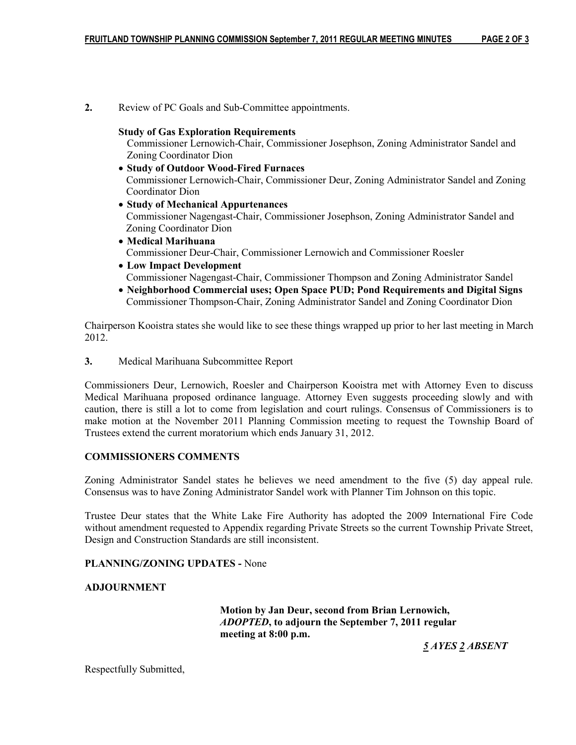2. Review of PC Goals and Sub-Committee appointments.

#### Study of Gas Exploration Requirements

 Commissioner Lernowich-Chair, Commissioner Josephson, Zoning Administrator Sandel and Zoning Coordinator Dion

- Study of Outdoor Wood-Fired Furnaces Commissioner Lernowich-Chair, Commissioner Deur, Zoning Administrator Sandel and Zoning Coordinator Dion
- Study of Mechanical Appurtenances Commissioner Nagengast-Chair, Commissioner Josephson, Zoning Administrator Sandel and Zoning Coordinator Dion
- Medical Marihuana Commissioner Deur-Chair, Commissioner Lernowich and Commissioner Roesler
- Low Impact Development Commissioner Nagengast-Chair, Commissioner Thompson and Zoning Administrator Sandel
- Neighborhood Commercial uses; Open Space PUD; Pond Requirements and Digital Signs Commissioner Thompson-Chair, Zoning Administrator Sandel and Zoning Coordinator Dion

Chairperson Kooistra states she would like to see these things wrapped up prior to her last meeting in March 2012.

3. Medical Marihuana Subcommittee Report

Commissioners Deur, Lernowich, Roesler and Chairperson Kooistra met with Attorney Even to discuss Medical Marihuana proposed ordinance language. Attorney Even suggests proceeding slowly and with caution, there is still a lot to come from legislation and court rulings. Consensus of Commissioners is to make motion at the November 2011 Planning Commission meeting to request the Township Board of Trustees extend the current moratorium which ends January 31, 2012.

## COMMISSIONERS COMMENTS

Zoning Administrator Sandel states he believes we need amendment to the five (5) day appeal rule. Consensus was to have Zoning Administrator Sandel work with Planner Tim Johnson on this topic.

Trustee Deur states that the White Lake Fire Authority has adopted the 2009 International Fire Code without amendment requested to Appendix regarding Private Streets so the current Township Private Street, Design and Construction Standards are still inconsistent.

# PLANNING/ZONING UPDATES - None

## ADJOURNMENT

 Motion by Jan Deur, second from Brian Lernowich, ADOPTED, to adjourn the September 7, 2011 regular meeting at 8:00 p.m.

5 AYES 2 ABSENT

Respectfully Submitted,